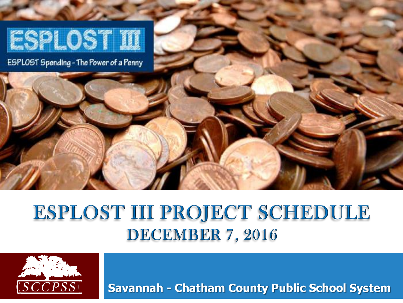

#### ESPLOST III PROJECT SCHEDULE **DECEMBER 7, 2016**



**Savannah - Chatham County Public School System**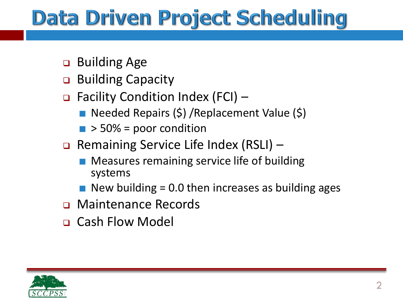# **Data Driven Project Scheduling**

- **□** Building Age
- **Building Capacity**
- $\Box$  Facility Condition Index (FCI)
	- Needed Repairs (\$) /Replacement Value (\$)
	- $\blacksquare$  > 50% = poor condition
- **Q** Remaining Service Life Index (RSLI)
	- Measures remaining service life of building systems
	- New building = 0.0 then increases as building ages
- **D** Maintenance Records
- Cash Flow Model

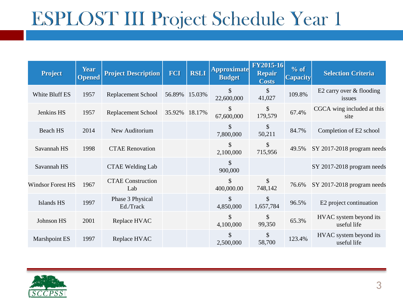| <b>Project</b>           | <b>Year</b><br><b>Opened</b> | <b>Project Description</b>      | <b>FCI</b> | <b>RSLI</b> | <b>Approximate</b><br><b>Budget</b> | <b>FY2015-16</b><br><b>Repair</b><br><b>Costs</b> | % of<br><b>Capacity</b> | <b>Selection Criteria</b>             |
|--------------------------|------------------------------|---------------------------------|------------|-------------|-------------------------------------|---------------------------------------------------|-------------------------|---------------------------------------|
| White Bluff ES           | 1957                         | Replacement School              | 56.89%     | 15.03%      | \$<br>22,600,000                    | \$<br>41,027                                      | 109.8%                  | E2 carry over & flooding<br>issues    |
| Jenkins HS               | 1957                         | <b>Replacement School</b>       | 35.92%     | 18.17%      | \$<br>67,600,000                    | \$<br>179,579                                     | 67.4%                   | CGCA wing included at this<br>site    |
| Beach HS                 | 2014                         | New Auditorium                  |            |             | \$<br>7,800,000                     | \$<br>50,211                                      | 84.7%                   | Completion of E2 school               |
| Savannah HS              | 1998                         | <b>CTAE Renovation</b>          |            |             | \$<br>2,100,000                     | \$<br>715,956                                     | 49.5%                   | SY 2017-2018 program needs            |
| Savannah HS              |                              | <b>CTAE Welding Lab</b>         |            |             | \$<br>900,000                       |                                                   |                         | SY 2017-2018 program needs            |
| <b>Windsor Forest HS</b> | 1967                         | <b>CTAE Construction</b><br>Lab |            |             | \$<br>400,000.00                    | \$<br>748,142                                     | 76.6%                   | SY 2017-2018 program needs            |
| Islands HS               | 1997                         | Phase 3 Physical<br>Ed./Track   |            |             | $\mathbb{S}$<br>4,850,000           | \$<br>1,657,784                                   | 96.5%                   | E2 project continuation               |
| Johnson HS               | 2001                         | Replace HVAC                    |            |             | \$<br>4,100,000                     | \$<br>99,350                                      | 65.3%                   | HVAC system beyond its<br>useful life |
| Marshpoint ES            | 1997                         | Replace HVAC                    |            |             | \$<br>2,500,000                     | \$<br>58,700                                      | 123.4%                  | HVAC system beyond its<br>useful life |

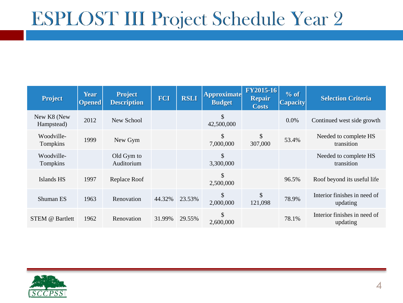| <b>Project</b>            | <b>Year</b><br><b>Opened</b> | <b>Project</b><br><b>Description</b> | <b>FCI</b> | <b>RSLI</b> | <b>Approximate</b><br><b>Budget</b> | <b>FY2015-16</b><br><b>Repair</b><br><b>Costs</b> | % of<br><b>Capacity</b> | <b>Selection Criteria</b>                |
|---------------------------|------------------------------|--------------------------------------|------------|-------------|-------------------------------------|---------------------------------------------------|-------------------------|------------------------------------------|
| New K8 (New<br>Hampstead) | 2012                         | New School                           |            |             | \$<br>42,500,000                    |                                                   | 0.0%                    | Continued west side growth               |
| Woodville-<br>Tompkins    | 1999                         | New Gym                              |            |             | $\mathcal{S}$<br>7,000,000          | \$<br>307,000                                     | 53.4%                   | Needed to complete HS<br>transition      |
| Woodville-<br>Tompkins    |                              | Old Gym to<br>Auditorium             |            |             | \$<br>3,300,000                     |                                                   |                         | Needed to complete HS<br>transition      |
| Islands HS                | 1997                         | Replace Roof                         |            |             | \$<br>2,500,000                     |                                                   | 96.5%                   | Roof beyond its useful life              |
| Shuman ES                 | 1963                         | Renovation                           | 44.32%     | 23.53%      | \$<br>2,000,000                     | \$<br>121,098                                     | 78.9%                   | Interior finishes in need of<br>updating |
| STEM @ Bartlett           | 1962                         | Renovation                           | 31.99%     | 29.55%      | \$<br>2,600,000                     |                                                   | 78.1%                   | Interior finishes in need of<br>updating |

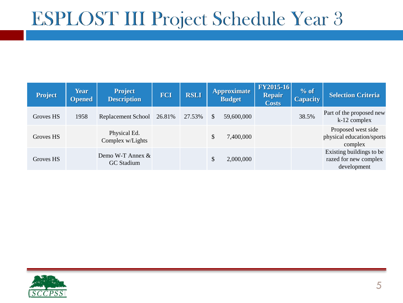| <b>Project</b> | <b>Year</b><br><b>Opened</b> | <b>Project</b><br><b>Description</b> | FCI    | <b>RSLI</b> | <b>Approximate</b><br><b>Budget</b> |            | <b>FY2015-16</b><br><b>Repair</b><br><b>Costs</b> | % of<br><b>Capacity</b> | <b>Selection Criteria</b>                                        |
|----------------|------------------------------|--------------------------------------|--------|-------------|-------------------------------------|------------|---------------------------------------------------|-------------------------|------------------------------------------------------------------|
| Groves HS      | 1958                         | Replacement School                   | 26.81% | 27.53%      | \$                                  | 59,600,000 |                                                   | 38.5%                   | Part of the proposed new<br>k-12 complex                         |
| Groves HS      |                              | Physical Ed.<br>Complex w/Lights     |        |             | \$                                  | 7,400,000  |                                                   |                         | Proposed west side<br>physical education/sports<br>complex       |
| Groves HS      |                              | Demo W-T Annex $\&$<br>GC Stadium    |        |             | \$                                  | 2,000,000  |                                                   |                         | Existing buildings to be<br>razed for new complex<br>development |

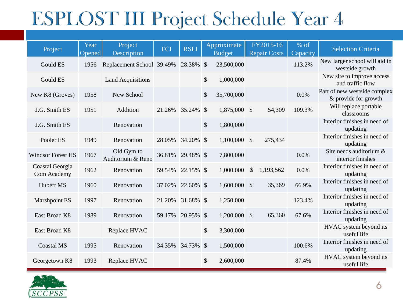| Project                        | Year<br>Opened | Project<br>Description          | FCI    | <b>RSLI</b> | Approximate<br><b>Budget</b> |               | FY2015-16<br><b>Repair Costs</b> | % of<br>Capacity | <b>Selection Criteria</b>                            |
|--------------------------------|----------------|---------------------------------|--------|-------------|------------------------------|---------------|----------------------------------|------------------|------------------------------------------------------|
| <b>Gould ES</b>                | 1956           | Replacement School 39.49%       |        | 28.38% \$   | 23,500,000                   |               |                                  | 113.2%           | New larger school will aid in<br>westside growth     |
| Gould ES                       |                | <b>Land Acquisitions</b>        |        |             | \$<br>1,000,000              |               |                                  |                  | New site to improve access<br>and traffic flow       |
| New K8 (Groves)                | 1958           | New School                      |        |             | \$<br>35,700,000             |               |                                  | 0.0%             | Part of new westside complex<br>& provide for growth |
| J.G. Smith ES                  | 1951           | Addition                        | 21.26% | 35.24% \$   | 1,875,000 \$                 |               | 54,309                           | 109.3%           | Will replace portable<br>classrooms                  |
| J.G. Smith ES                  |                | Renovation                      |        |             | \$<br>1,800,000              |               |                                  |                  | Interior finishes in need of<br>updating             |
| Pooler ES                      | 1949           | Renovation                      | 28.05% | 34.20% \$   | $1,100,000$ \$               |               | 275,434                          |                  | Interior finishes in need of<br>updating             |
| <b>Windsor Forest HS</b>       | 1967           | Old Gym to<br>Auditorium & Reno | 36.81% | 29.48% \$   | 7,800,000                    |               |                                  | 0.0%             | Site needs auditorium &<br>interior finishes         |
| Coastal Georgia<br>Com Academy | 1962           | Renovation                      | 59.54% | 22.15% \$   | 1,000,000                    | $\mathcal{S}$ | 1,193,562                        | 0.0%             | Interior finishes in need of<br>updating             |
| Hubert MS                      | 1960           | Renovation                      | 37.02% | 22.60% \$   | $1,600,000$ \$               |               | 35,369                           | 66.9%            | Interior finishes in need of<br>updating             |
| Marshpoint ES                  | 1997           | Renovation                      | 21.20% | 31.68% \$   | 1,250,000                    |               |                                  | 123.4%           | Interior finishes in need of<br>updating             |
| East Broad K8                  | 1989           | Renovation                      | 59.17% | 20.95% \$   | $1,200,000$ \$               |               | 65,360                           | 67.6%            | Interior finishes in need of<br>updating             |
| East Broad K8                  |                | Replace HVAC                    |        |             | \$<br>3,300,000              |               |                                  |                  | HVAC system beyond its<br>useful life                |
| <b>Coastal MS</b>              | 1995           | Renovation                      | 34.35% | 34.73% \$   | 1,500,000                    |               |                                  | 100.6%           | Interior finishes in need of<br>updating             |
| Georgetown K8                  | 1993           | Replace HVAC                    |        |             | \$<br>2,600,000              |               |                                  | 87.4%            | HVAC system beyond its<br>useful life                |